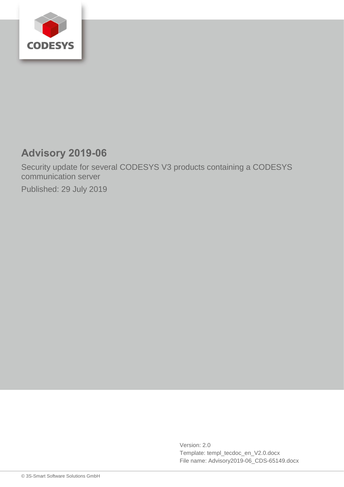

# **Advisory 2019-06**

Security update for several CODESYS V3 products containing a CODESYS communication server

Published: 29 July 2019

Version: 2.0 Template: templ\_tecdoc\_en\_V2.0.docx File name: Advisory2019-06\_CDS-65149.docx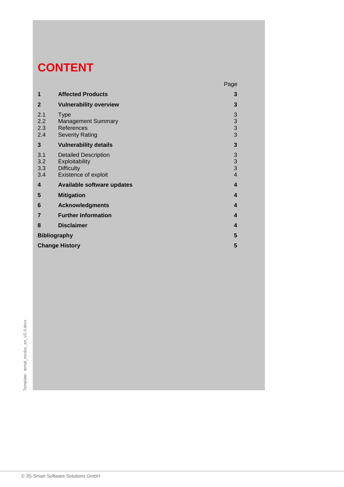# **CONTENT**

|                          |                                                                                            | Page                                                                  |
|--------------------------|--------------------------------------------------------------------------------------------|-----------------------------------------------------------------------|
| 1                        | <b>Affected Products</b>                                                                   | 3                                                                     |
| $\mathbf{2}$             | <b>Vulnerability overview</b>                                                              | 3                                                                     |
| 2.1<br>2.2<br>2.3<br>2.4 | <b>Type</b><br><b>Management Summary</b><br>References<br><b>Severity Rating</b>           | $\begin{array}{c} 3 \\ 3 \\ 3 \end{array}$                            |
| 3                        | <b>Vulnerability details</b>                                                               | $\overline{\mathbf{3}}$                                               |
| 3.1<br>3.2<br>3.3<br>3.4 | <b>Detailed Description</b><br>Exploitability<br><b>Difficulty</b><br>Existence of exploit | $\begin{array}{c} 3 \\ 3 \\ 3 \end{array}$<br>$\overline{\mathbf{4}}$ |
| 4                        | <b>Available software updates</b>                                                          | 4                                                                     |
| 5                        | <b>Mitigation</b>                                                                          | 4                                                                     |
| 6                        | <b>Acknowledgments</b>                                                                     | 4                                                                     |
| $\overline{7}$           | <b>Further Information</b>                                                                 | 4                                                                     |
| 8                        | <b>Disclaimer</b>                                                                          | 4                                                                     |
| <b>Bibliography</b>      |                                                                                            | 5                                                                     |
| <b>Change History</b>    |                                                                                            |                                                                       |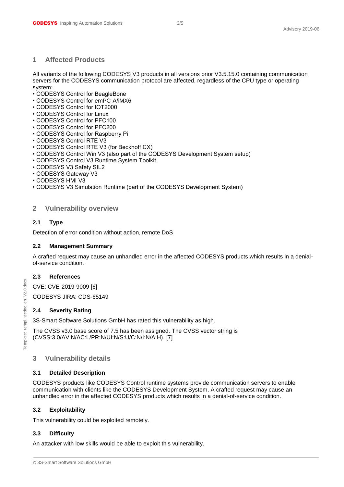#### <span id="page-2-0"></span>**1 Affected Products**

All variants of the following CODESYS V3 products in all versions prior V3.5.15.0 containing communication servers for the CODESYS communication protocol are affected, regardless of the CPU type or operating system:

- CODESYS Control for BeagleBone
- CODESYS Control for emPC-A/iMX6
- CODESYS Control for IOT2000
- CODESYS Control for Linux
- CODESYS Control for PFC100
- CODESYS Control for PFC200
- CODESYS Control for Raspberry Pi
- CODESYS Control RTE V3
- CODESYS Control RTE V3 (for Beckhoff CX)
- CODESYS Control Win V3 (also part of the CODESYS Development System setup)
- CODESYS Control V3 Runtime System Toolkit
- CODESYS V3 Safety SIL2
- CODESYS Gateway V3
- CODESYS HMI V3
- <span id="page-2-1"></span>• CODESYS V3 Simulation Runtime (part of the CODESYS Development System)

### **2 Vulnerability overview**

### <span id="page-2-2"></span>**2.1 Type**

Detection of error condition without action, remote DoS

#### <span id="page-2-3"></span>**2.2 Management Summary**

A crafted request may cause an unhandled error in the affected CODESYS products which results in a denialof-service condition.

#### <span id="page-2-4"></span>**2.3 References**

CVE: CVE-2019-9009 [6]

CODESYS JIRA: CDS-65149

### <span id="page-2-5"></span>**2.4 Severity Rating**

3S-Smart Software Solutions GmbH has rated this vulnerability as high.

The CVSS v3.0 base score of 7.5 has been assigned. The CVSS vector string is (CVSS:3.0/AV:N/AC:L/PR:N/UI:N/S:U/C:N/I:N/A:H). [7]

### <span id="page-2-6"></span>**3 Vulnerability details**

#### <span id="page-2-7"></span>**3.1 Detailed Description**

CODESYS products like CODESYS Control runtime systems provide communication servers to enable communication with clients like the CODESYS Development System. A crafted request may cause an unhandled error in the affected CODESYS products which results in a denial-of-service condition.

### <span id="page-2-8"></span>**3.2 Exploitability**

This vulnerability could be exploited remotely.

### <span id="page-2-9"></span>**3.3 Difficulty**

An attacker with low skills would be able to exploit this vulnerability.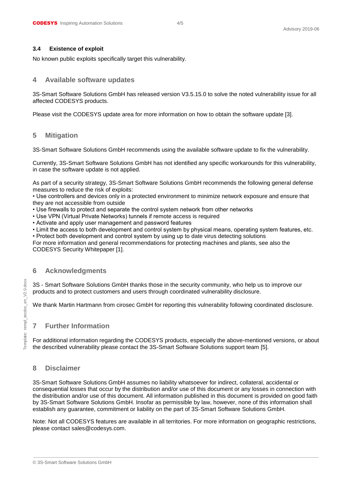#### <span id="page-3-0"></span>**3.4 Existence of exploit**

<span id="page-3-1"></span>No known public exploits specifically target this vulnerability.

### **4 Available software updates**

3S-Smart Software Solutions GmbH has released version V3.5.15.0 to solve the noted vulnerability issue for all affected CODESYS products.

<span id="page-3-2"></span>Please visit the CODESYS update area for more information on how to obtain the software update [3].

### **5 Mitigation**

3S-Smart Software Solutions GmbH recommends using the available software update to fix the vulnerability.

Currently, 3S-Smart Software Solutions GmbH has not identified any specific workarounds for this vulnerability, in case the software update is not applied.

As part of a security strategy, 3S-Smart Software Solutions GmbH recommends the following general defense measures to reduce the risk of exploits:

• Use controllers and devices only in a protected environment to minimize network exposure and ensure that they are not accessible from outside

- Use firewalls to protect and separate the control system network from other networks
- Use VPN (Virtual Private Networks) tunnels if remote access is required
- Activate and apply user management and password features
- Limit the access to both development and control system by physical means, operating system features, etc.
- Protect both development and control system by using up to date virus detecting solutions

For more information and general recommendations for protecting machines and plants, see also the CODESYS Security Whitepaper [1].

### <span id="page-3-3"></span>**6 Acknowledgments**

3S - Smart Software Solutions GmbH thanks those in the security community, who help us to improve our products and to protect customers and users through coordinated vulnerability disclosure.

<span id="page-3-4"></span>We thank Martin Hartmann from cirosec GmbH for reporting this vulnerability following coordinated disclosure.

### **7 Further Information**

For additional information regarding the CODESYS products, especially the above-mentioned versions, or about the described vulnerability please contact the 3S-Smart Software Solutions support team [5].

# <span id="page-3-5"></span>**8 Disclaimer**

3S-Smart Software Solutions GmbH assumes no liability whatsoever for indirect, collateral, accidental or consequential losses that occur by the distribution and/or use of this document or any losses in connection with the distribution and/or use of this document. All information published in this document is provided on good faith by 3S-Smart Software Solutions GmbH. Insofar as permissible by law, however, none of this information shall establish any guarantee, commitment or liability on the part of 3S-Smart Software Solutions GmbH.

Note: Not all CODESYS features are available in all territories. For more information on geographic restrictions, please contact sales@codesys.com.

Template: templ\_tecdoc\_en\_V2.0.docx templ tecdoc en V2.0.doc emplate: